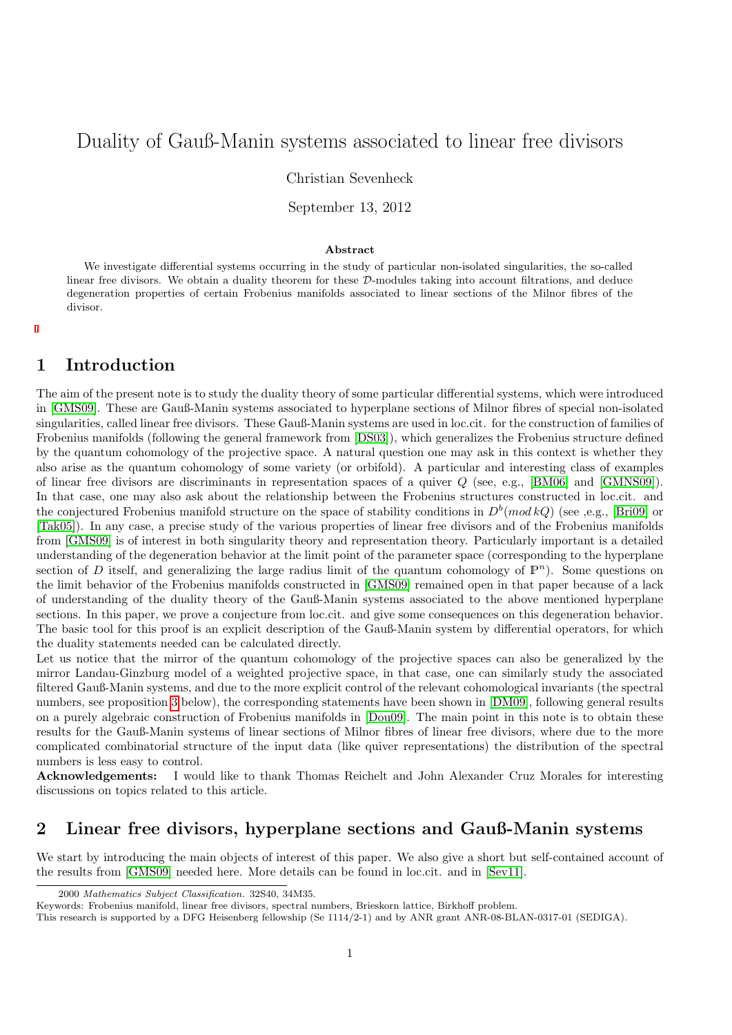# <span id="page-0-0"></span>Duality of Gauß-Manin systems associated to linear free divisors

Christian Sevenheck

September 13, 2012

#### Abstract

We investigate differential systems occurring in the study of particular non-isolated singularities, the so-called linear free divisors. We obtain a duality theorem for these D-modules taking into account filtrations, and deduce degeneration properties of certain Frobenius manifolds associated to linear sections of the Milnor fibres of the divisor.

## 1 Introduction

The aim of the present note is to study the duality theory of some particular differential systems, which were introduced in [\[GMS09\]](#page-9-0). These are Gauß-Manin systems associated to hyperplane sections of Milnor fibres of special non-isolated singularities, called linear free divisors. These Gauß-Manin systems are used in loc.cit. for the construction of families of Frobenius manifolds (following the general framework from [\[DS03\]](#page-9-1)), which generalizes the Frobenius structure defined by the quantum cohomology of the projective space. A natural question one may ask in this context is whether they also arise as the quantum cohomology of some variety (or orbifold). A particular and interesting class of examples of linear free divisors are discriminants in representation spaces of a quiver Q (see, e.g., [\[BM06\]](#page-8-0) and [\[GMNS09\]](#page-9-2)). In that case, one may also ask about the relationship between the Frobenius structures constructed in loc.cit. and the conjectured Frobenius manifold structure on the space of stability conditions in  $D^b (mod kQ)$  (see ,e.g., [\[Bri09\]](#page-9-3) or [\[Tak05\]](#page-9-4)). In any case, a precise study of the various properties of linear free divisors and of the Frobenius manifolds from [\[GMS09\]](#page-9-0) is of interest in both singularity theory and representation theory. Particularly important is a detailed understanding of the degeneration behavior at the limit point of the parameter space (corresponding to the hyperplane section of D itself, and generalizing the large radius limit of the quantum cohomology of  $\mathbb{P}^n$ ). Some questions on the limit behavior of the Frobenius manifolds constructed in [\[GMS09\]](#page-9-0) remained open in that paper because of a lack of understanding of the duality theory of the Gauß-Manin systems associated to the above mentioned hyperplane sections. In this paper, we prove a conjecture from loc.cit. and give some consequences on this degeneration behavior. The basic tool for this proof is an explicit description of the Gauß-Manin system by differential operators, for which the duality statements needed can be calculated directly.

Let us notice that the mirror of the quantum cohomology of the projective spaces can also be generalized by the mirror Landau-Ginzburg model of a weighted projective space, in that case, one can similarly study the associated filtered Gauß-Manin systems, and due to the more explicit control of the relevant cohomological invariants (the spectral numbers, see proposition 3 below), the corresponding statements have been shown in [\[DM09\]](#page-9-5), following general results on a purely algebraic construction of Frobenius manifolds in [\[Dou09\]](#page-9-6). The main point in this note is to obtain these results for the Gauß-Manin systems of linear sections of Milnor fibres of linear free divisors, where due to the more complicated combinatorial structure of the input data (like quiver representations) the distribution of the spectral numbers is less easy to control.

Acknowledgements: I would like to thank Thomas Reichelt and John Alexander Cruz Morales for interesting discussions on topics related to this article.

# 2 Linear free divisors, hyperplane sections and Gauß-Manin systems

We start by introducing the main objects of interest of this paper. We also give a short but self-contained account of the results from [\[GMS09\]](#page-9-0) needed here. More details can be found in loc.cit. and in [\[Sev11\]](#page-9-7).

<sup>2000</sup> Mathematics Subject Classification. 32S40, 34M35.

Keywords: Frobenius manifold, linear free divisors, spectral numbers, Brieskorn lattice, Birkhoff problem.

This research is supported by a DFG Heisenberg fellowship (Se 1114/2-1) and by ANR grant ANR-08-BLAN-0317-01 (SEDIGA).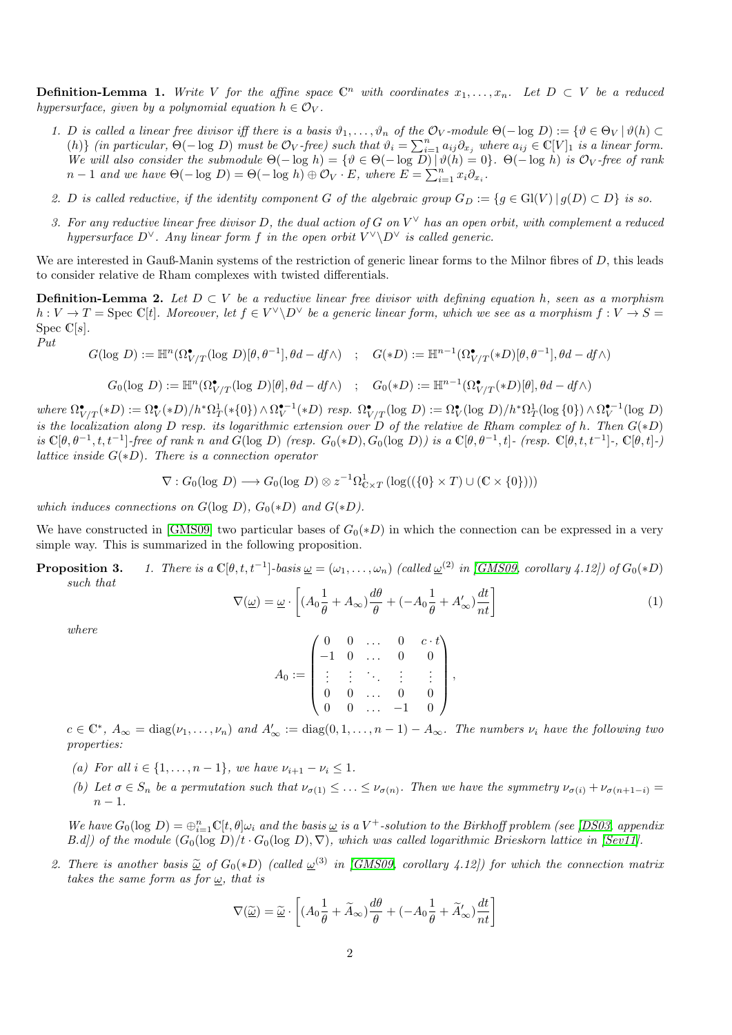**Definition-Lemma 1.** Write V for the affine space  $\mathbb{C}^n$  with coordinates  $x_1, \ldots, x_n$ . Let  $D \subset V$  be a reduced hypersurface, given by a polynomial equation  $h \in \mathcal{O}_V$ .

- 1. D is called a linear free divisor iff there is a basis  $\vartheta_1,\ldots,\vartheta_n$  of the  $\mathcal{O}_V$ -module  $\Theta(-\log D) := {\vartheta \in \Theta_V | \vartheta(h) \subset \Theta_V | \vartheta(h) \subset \Theta_V | \vartheta(h)}$ (h)} (in particular,  $\Theta(-\log D)$  must be  $\mathcal{O}_V$ -free) such that  $\vartheta_i = \sum_{i=1}^n a_{ij} \partial_{x_i}$  where  $a_{ij} \in \mathbb{C}[V]_1$  is a linear form. We will also consider the submodule  $\Theta(-\log h) = {\vartheta \in \Theta(-\log D) | \vartheta(h) = 0}.$   $\Theta(-\log h)$  is  $\mathcal{O}_V$ -free of rank  $n-1$  and we have  $\Theta(-\log D) = \Theta(-\log h) \oplus \mathcal{O}_V \cdot E$ , where  $E = \sum_{i=1}^n x_i \partial_{x_i}$ .
- 2. D is called reductive, if the identity component G of the algebraic group  $G_D := \{g \in Gl(V) \mid g(D) \subset D\}$  is so.
- 3. For any reductive linear free divisor D, the dual action of G on  $V^{\vee}$  has an open orbit, with complement a reduced hypersurface  $D^{\vee}$ . Any linear form f in the open orbit  $V^{\vee} \backslash D^{\vee}$  is called generic.

We are interested in Gauß-Manin systems of the restriction of generic linear forms to the Milnor fibres of  $D$ , this leads to consider relative de Rham complexes with twisted differentials.

**Definition-Lemma 2.** Let  $D \subset V$  be a reductive linear free divisor with defining equation h, seen as a morphism  $h: V \to T = \text{Spec } \mathbb{C}[t]$ . Moreover, let  $f \in V^{\vee} \backslash D^{\vee}$  be a generic linear form, which we see as a morphism  $f: V \to S =$ Spec  $\mathbb{C}[s]$ .

$$
Put
$$

$$
G(\log D) := \mathbb{H}^n(\Omega^\bullet_{V/T}(\log D)[\theta, \theta^{-1}], \theta d - df \wedge) \quad ; \quad G(*D) := \mathbb{H}^{n-1}(\Omega^\bullet_{V/T}(*D)[\theta, \theta^{-1}], \theta d - df \wedge)
$$

$$
G_0(\log \, D):= \mathbb{H}^n(\Omega^\bullet_{V/T}(\log \, D)[\theta], \theta d - df \wedge) \quad ; \quad G_0(\ast D):= \mathbb{H}^{n-1}(\Omega^\bullet_{V/T}(\ast D)[\theta], \theta d - df \wedge)
$$

 $where \ \Omega^{\bullet}_{V/T}(*D):= \Omega^{\bullet}_{V}(*D)/h^*\Omega^1_T(*\{0\}) \wedge \Omega^{\bullet-1}_{V}(*D) \ resp. \ \Omega^{\bullet}_{V/T}(\log \, D):= \Omega^{\bullet}_{V}(\log \, D)/h^*\Omega^1_T(\log \{0\}) \wedge \Omega^{\bullet-1}_{V}(\log \, D)$ is the localization along D resp. its logarithmic extension over D of the relative de Rham complex of h. Then  $G(*D)$ is  $\mathbb{C}[\theta,\theta^{-1},t,t^{-1}]$ -free of rank n and  $G(\log D)$  (resp.  $G_0(*D), G_0(\log D)$ ) is a  $\mathbb{C}[\theta,\theta^{-1},t]$ - (resp.  $\mathbb{C}[\theta,t,t^{-1}]$ -,  $\mathbb{C}[\theta,t]$ -) lattice inside  $G(*D)$ . There is a connection operator

$$
\nabla: G_0(\log D) \longrightarrow G_0(\log D) \otimes z^{-1}\Omega^1_{\mathbb{C} \times T} (\log((\{0\} \times T) \cup (\mathbb{C} \times \{0\})))
$$

which induces connections on  $G(\log D)$ ,  $G_0(*D)$  and  $G(*D)$ .

We have constructed in [\[GMS09\]](#page-9-0) two particular bases of  $G_0(*D)$  in which the connection can be expressed in a very simple way. This is summarized in the following proposition.

**Proposition 3.** 1. There is a  $\mathbb{C}[\theta, t, t^{-1}]$ -basis  $\underline{\omega} = (\omega_1, \dots, \omega_n)$  (called  $\underline{\omega}^{(2)}$  in [\[GMS09,](#page-9-0) corollary 4.12]) of  $G_0(*D)$ such that

<span id="page-1-0"></span>
$$
\nabla(\underline{\omega}) = \underline{\omega} \cdot \left[ (A_0 \frac{1}{\theta} + A_{\infty}) \frac{d\theta}{\theta} + (-A_0 \frac{1}{\theta} + A'_{\infty}) \frac{dt}{nt} \right]
$$
(1)

where

$$
A_0:=\begin{pmatrix} 0 & 0 & \dots & 0 & c\cdot t \\ -1 & 0 & \dots & 0 & 0 \\ \vdots & \vdots & \ddots & \vdots & \vdots \\ 0 & 0 & \dots & 0 & 0 \\ 0 & 0 & \dots & -1 & 0 \end{pmatrix},
$$

 $c \in \mathbb{C}^*, A_{\infty} = \text{diag}(\nu_1, \dots, \nu_n)$  and  $A'_{\infty} := \text{diag}(0, 1, \dots, n-1) - A_{\infty}$ . The numbers  $\nu_i$  have the following two properties:

- (a) For all  $i \in \{1, ..., n-1\}$ , we have  $\nu_{i+1} \nu_i \leq 1$ .
- (b) Let  $\sigma \in S_n$  be a permutation such that  $\nu_{\sigma(1)} \leq \ldots \leq \nu_{\sigma(n)}$ . Then we have the symmetry  $\nu_{\sigma(i)} + \nu_{\sigma(n+1-i)} =$  $n-1$ .

We have  $G_0(\log D) = \bigoplus_{i=1}^n \mathbb{C}[t, \theta] \omega_i$  and the basis  $\underline{\omega}$  is a V<sup>+</sup>-solution to the Birkhoff problem (see [\[DS03,](#page-9-1) appendix  $B.d$ ) of the module  $(G_0(\log D)/t \cdot G_0(\log D), \nabla)$ , which was called logarithmic Brieskorn lattice in [\[Sev11\]](#page-9-7).

2. There is another basis  $\tilde{\omega}$  of  $G_0(*D)$  (called  $\omega^{(3)}$  in [\[GMS09,](#page-9-0) corollary 4.12]) for which the connection matrix<br>takes the same form as for  $\omega$ , that is takes the same form as for  $\omega$ , that is

$$
\nabla(\widetilde{\underline{\omega}}) = \widetilde{\underline{\omega}} \cdot \left[ (A_0 \frac{1}{\theta} + \widetilde{A}_{\infty}) \frac{d\theta}{\theta} + (-A_0 \frac{1}{\theta} + \widetilde{A}_{\infty}') \frac{dt}{nt} \right]
$$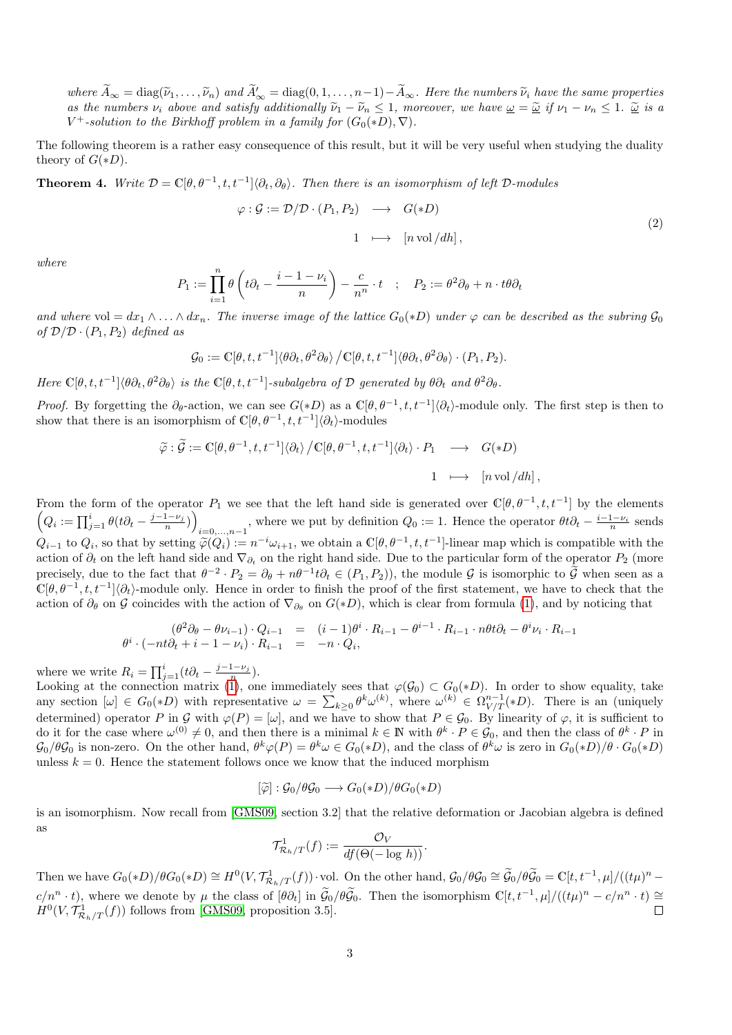where  $\widetilde{A}_{\infty} = \text{diag}(\widetilde{\nu}_1, \ldots, \widetilde{\nu}_n)$  and  $\widetilde{A}'_{\infty} = \text{diag}(0, 1, \ldots, n-1) - \widetilde{A}_{\infty}$ . Here the numbers  $\widetilde{\nu}_i$  have the same properties as the numbers  $\nu_i$  above and satisfy additionally  $\widetilde{\nu}_1 - \widetilde{\nu}_n \leq 1$ , moreover, we have  $\underline{\omega} = \underline{\widetilde{\omega}}$  if  $\nu_1 - \nu_n \leq 1$ .  $\underline{\widetilde{\omega}}$  is a  $V^+$ -solution to the Birkhoff problem in a family for  $(G_0(*D), \nabla)$ .

The following theorem is a rather easy consequence of this result, but it will be very useful when studying the duality theory of  $G(*D)$ .

<span id="page-2-0"></span>**Theorem 4.** Write  $\mathcal{D} = \mathbb{C}[\theta, \theta^{-1}, t, t^{-1}]\langle \partial_t, \partial_\theta \rangle$ . Then there is an isomorphism of left  $\mathcal{D}$ -modules

$$
\varphi : \mathcal{G} := \mathcal{D}/\mathcal{D} \cdot (P_1, P_2) \longrightarrow G(*D)
$$
  

$$
1 \longmapsto [n \text{ vol}/dh],
$$
 (2)

where

$$
P_1 := \prod_{i=1}^n \theta \left( t \partial_t - \frac{i-1-\nu_i}{n} \right) - \frac{c}{n^n} \cdot t \quad ; \quad P_2 := \theta^2 \partial_\theta + n \cdot t \theta \partial_t
$$

and where vol =  $dx_1 \wedge ... \wedge dx_n$ . The inverse image of the lattice  $G_0(*D)$  under  $\varphi$  can be described as the subring  $\mathcal{G}_0$ of  $\mathcal{D}/\mathcal{D} \cdot (P_1, P_2)$  defined as

$$
\mathcal{G}_0 := \mathbb{C}[\theta, t, t^{-1}]\langle \theta \partial_t, \theta^2 \partial_\theta \rangle / \mathbb{C}[\theta, t, t^{-1}]\langle \theta \partial_t, \theta^2 \partial_\theta \rangle \cdot (P_1, P_2).
$$

Here  $\mathbb{C}[\theta, t, t^{-1}]\langle \theta \partial_t, \theta^2 \partial_{\theta} \rangle$  is the  $\mathbb{C}[\theta, t, t^{-1}]$ -subalgebra of  $\mathcal D$  generated by  $\theta \partial_t$  and  $\theta^2 \partial_{\theta}$ .

*Proof.* By forgetting the  $\partial_{\theta}$ -action, we can see  $G(*D)$  as a  $\mathbb{C}[\theta,\theta^{-1},t,t^{-1}]\langle\partial_t\rangle$ -module only. The first step is then to show that there is an isomorphism of  $\mathbb{C}[\theta, \theta^{-1}, t, t^{-1}]\langle \partial_t \rangle$ -modules

$$
\widetilde{\varphi} : \widetilde{\mathcal{G}} := \mathbb{C}[\theta, \theta^{-1}, t, t^{-1}] \langle \partial_t \rangle / \mathbb{C}[\theta, \theta^{-1}, t, t^{-1}] \langle \partial_t \rangle \cdot P_1 \longrightarrow G(*D)
$$
  
1  $\longmapsto [n \text{ vol}/dh],$ 

From the form of the operator  $P_1$  we see that the left hand side is generated over  $\mathbb{C}[\theta,\theta^{-1},t,t^{-1}]$  by the elements  $\left(Q_i := \prod_{j=1}^i \theta(t\partial_t - \frac{j-1-\nu_j}{n})\right)$  $i=0,\ldots,n-1$ , where we put by definition  $Q_0 := 1$ . Hence the operator  $\theta t \partial_t - \frac{i-1-\nu_i}{n}$  sends  $Q_{i-1}$  to  $Q_i$ , so that by setting  $\widetilde{\varphi}(Q_i) := n^{-i}\omega_{i+1}$ , we obtain a  $\mathbb{C}[\theta, \theta^{-1}, t, t^{-1}]$ -linear map which is compatible with the action of  $\partial_t$  on the left hand side and  $\nabla_{\partial_t}$  on the right hand side. Due to the particular form of the operator  $P_2$  (more precisely, due to the fact that  $\theta^{-2} \cdot P_2 = \partial_\theta + n\theta^{-1} t \partial_t \in (P_1, P_2)$ , the module G is isomorphic to  $\tilde{\mathcal{G}}$  when seen as a  $\mathbb{C}[\theta,\theta^{-1},t,t^{-1}]\langle\partial_t\rangle$ -module only. Hence in order to finish the proof of the first statement, we have to check that the action of  $\partial_\theta$  on G coincides with the action of  $\nabla_{\partial_\theta}$  on  $G(*D)$ , which is clear from formula [\(1\)](#page-1-0), and by noticing that

$$
\begin{array}{rcl}\n(\theta^2 \partial_{\theta} - \theta \nu_{i-1}) \cdot Q_{i-1} & = & (i-1)\theta^i \cdot R_{i-1} - \theta^{i-1} \cdot R_{i-1} \cdot n\theta t \partial_t - \theta^i \nu_i \cdot R_{i-1} \\
\theta^i \cdot (-nt\partial_t + i - 1 - \nu_i) \cdot R_{i-1} & = & -n \cdot Q_i,\n\end{array}
$$

where we write  $R_i = \prod_{j=1}^i (t\partial_t - \frac{j-1-\nu_j}{n}).$ 

Looking at the connection matrix [\(1\)](#page-1-0), one immediately sees that  $\varphi(\mathcal{G}_0) \subset G_0(*D)$ . In order to show equality, take any section  $[\omega] \in G_0(*D)$  with representative  $\omega = \sum_{k\geq 0} \theta^k \omega^{(k)}$ , where  $\omega^{(k)} \in \Omega^{n-1}_{V/T}(*D)$ . There is an (uniquely determined) operator P in G with  $\varphi(P) = [\omega]$ , and we have to show that  $P \in \mathcal{G}_0$ . By linearity of  $\varphi$ , it is sufficient to do it for the case where  $\omega^{(0)} \neq 0$ , and then there is a minimal  $k \in \mathbb{N}$  with  $\theta^k \cdot P \in \mathcal{G}_0$ , and then the class of  $\theta^k \cdot P$  in  $\mathcal{G}_0/\theta\mathcal{G}_0$  is non-zero. On the other hand,  $\theta^k\varphi(P) = \theta^k\omega \in G_0(*D)$ , and the class of  $\theta^k\omega$  is zero in  $G_0(*D)/\theta \cdot G_0(*D)$ unless  $k = 0$ . Hence the statement follows once we know that the induced morphism

$$
[\widetilde{\varphi}] : \mathcal{G}_0 / \theta \mathcal{G}_0 \longrightarrow G_0(*D) / \theta G_0(*D)
$$

is an isomorphism. Now recall from [\[GMS09,](#page-9-0) section 3.2] that the relative deformation or Jacobian algebra is defined as

$$
\mathcal{T}^1_{\mathcal{R}_h/T}(f) := \frac{\mathcal{O}_V}{df(\Theta(-\log h))}.
$$

Then we have  $G_0(*D)/\theta G_0(*D) \cong H^0(V, \mathcal{T}^1_{\mathcal{R}_h/T}(f)) \cdot \text{vol}$ . On the other hand,  $\mathcal{G}_0/\theta \mathcal{G}_0 \cong \widetilde{\mathcal{G}}_0/\theta \widetilde{\mathcal{G}}_0 = \mathbb{C}[t, t^{-1}, \mu]/((t\mu)^n$  $c/n^n \cdot t$ , where we denote by  $\mu$  the class of  $[\theta \partial_t]$  in  $\widetilde{\mathcal{G}}_0/\theta \widetilde{\mathcal{G}}_0$ . Then the isomorphism  $\mathbb{C}[t, t^{-1}, \mu]/((t\mu)^n - c/n^n \cdot t) \cong$  $H^0(V, \mathcal{T}^1_{\mathcal{R}_h/T}(f))$  follows from [\[GMS09,](#page-9-0) proposition 3.5].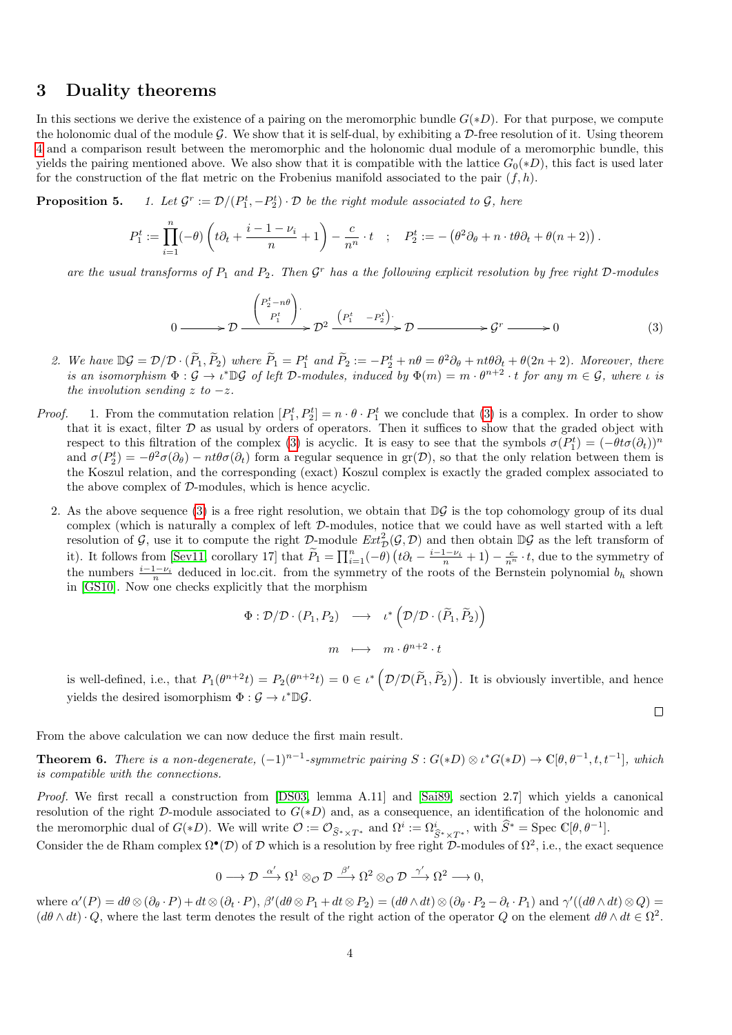#### 3 Duality theorems

In this sections we derive the existence of a pairing on the meromorphic bundle  $G(*D)$ . For that purpose, we compute the holonomic dual of the module G. We show that it is self-dual, by exhibiting a  $\mathcal{D}$ -free resolution of it. Using theorem [4](#page-2-0) and a comparison result between the meromorphic and the holonomic dual module of a meromorphic bundle, this yields the pairing mentioned above. We also show that it is compatible with the lattice  $G_0(*D)$ , this fact is used later for the construction of the flat metric on the Frobenius manifold associated to the pair  $(f, h)$ .

Proposition 5.  $r := \mathcal{D}/(P_1^t, -P_2^t) \cdot \mathcal{D}$  be the right module associated to  $\mathcal{G}$ , here

$$
P_1^t := \prod_{i=1}^n (-\theta) \left( t \partial_t + \frac{i-1-\nu_i}{n} + 1 \right) - \frac{c}{n^n} \cdot t \quad ; \quad P_2^t := -\left( \theta^2 \partial_\theta + n \cdot t \theta \partial_t + \theta (n+2) \right).
$$

are the usual transforms of  $P_1$  and  $P_2$ . Then  $\mathcal{G}^r$  has a the following explicit resolution by free right  $\mathcal{D}\text{-modules}$ 

<span id="page-3-0"></span>
$$
0 \longrightarrow \mathcal{D} \xrightarrow{\begin{pmatrix} P_2^t - n\theta \\ P_1^t \end{pmatrix}} \mathcal{D}^2 \xrightarrow{\begin{pmatrix} P_1^t & -P_2^t \end{pmatrix}} \mathcal{D} \longrightarrow \mathcal{G}^r \longrightarrow 0
$$
 (3)

- 2. We have  $\mathbb{D}\mathcal{G} = \mathcal{D}/\mathcal{D} \cdot (\widetilde{P}_1, \widetilde{P}_2)$  where  $\widetilde{P}_1 = P_1^t$  and  $\widetilde{P}_2 := -P_2^t + n\theta = \theta^2\partial_\theta + nt\theta\partial_t + \theta(2n+2)$ . Moreover, there is an isomorphism  $\Phi: \mathcal{G} \to \iota^* \mathbb{D} \mathcal{G}$  of left D-modules, induced by  $\Phi(m) = m \cdot \theta^{n+2} \cdot t$  for any  $m \in \mathcal{G}$ , where  $\iota$  is the involution sending z to  $-z$ .
- *Proof.* 1. From the commutation relation  $[P_1^t, P_2^t] = n \cdot \theta \cdot P_1^t$  we conclude that [\(3\)](#page-3-0) is a complex. In order to show that it is exact, filter  $D$  as usual by orders of operators. Then it suffices to show that the graded object with respect to this filtration of the complex [\(3\)](#page-3-0) is acyclic. It is easy to see that the symbols  $\sigma(P_1^t) = (-\theta t \sigma(\partial_t))^n$ and  $\sigma(P_2^t) = -\theta^2 \sigma(\partial_\theta) - nt\theta \sigma(\partial_t)$  form a regular sequence in gr(D), so that the only relation between them is the Koszul relation, and the corresponding (exact) Koszul complex is exactly the graded complex associated to the above complex of D-modules, which is hence acyclic.
	- 2. As the above sequence [\(3\)](#page-3-0) is a free right resolution, we obtain that  $\mathbb{D}\mathcal{G}$  is the top cohomology group of its dual complex (which is naturally a complex of left D-modules, notice that we could have as well started with a left resolution of G, use it to compute the right  $\mathcal{D}$ -module  $Ext^2_{\mathcal{D}}(\mathcal{G}, \mathcal{D})$  and then obtain  $\mathbb{D}\mathcal{G}$  as the left transform of it). It follows from [\[Sev11,](#page-9-7) corollary 17] that  $\widetilde{P}_1 = \prod_{i=1}^n (-\theta) \left(t\partial_t - \frac{i-1-\nu_i}{n} + 1\right) - \frac{c}{n^n} \cdot t$ , due to the symmetry of the numbers  $\frac{i-1-\nu_i}{n}$  deduced in loc.cit. from the symmetry of the roots of the Bernstein polynomial  $b_h$  shown in [\[GS10\]](#page-9-8). Now one checks explicitly that the morphism

$$
\Phi : \mathcal{D}/\mathcal{D} \cdot (P_1, P_2) \longrightarrow \iota^* \left( \mathcal{D}/\mathcal{D} \cdot (\widetilde{P}_1, \widetilde{P}_2) \right)
$$

$$
m \longmapsto m \cdot \theta^{n+2} \cdot t
$$

is well-defined, i.e., that  $P_1(\theta^{n+2}t) = P_2(\theta^{n+2}t) = 0 \in \iota^* \left( \mathcal{D}/\mathcal{D}(\widetilde{P}_1, \widetilde{P}_2) \right)$ . It is obviously invertible, and hence yields the desired isomorphism  $\Phi : \mathcal{G} \to \iota^* \mathbb{D} \mathcal{G}$ .

 $\Box$ 

From the above calculation we can now deduce the first main result.

<span id="page-3-1"></span>**Theorem 6.** There is a non-degenerate,  $(-1)^{n-1}$ -symmetric pairing  $S: G(*D) \otimes \iota^* G(*D) \to \mathbb{C}[\theta, \theta^{-1}, t, t^{-1}]$ , which is compatible with the connections.

Proof. We first recall a construction from [\[DS03,](#page-9-1) lemma A.11] and [\[Sai89,](#page-9-9) section 2.7] which yields a canonical resolution of the right  $\mathcal{D}$ -module associated to  $G(*D)$  and, as a consequence, an identification of the holonomic and the meromorphic dual of  $G(*D)$ . We will write  $\mathcal{O} := \mathcal{O}_{\widehat{S}^* \times T^*}$  and  $\Omega^i := \Omega^i_{\widehat{S}^* \times T^*}$ , with  $\widehat{S}^* = \text{Spec } \mathbb{C}[\theta, \theta^{-1}]$ .

Consider the de Rham complex  $\Omega^{\bullet}(\mathcal{D})$  of  $\mathcal D$  which is a resolution by free right  $\mathcal D$ -modules of  $\Omega^2$ , i.e., the exact sequence

$$
0 \longrightarrow \mathcal{D} \stackrel{\alpha'}{\longrightarrow} \Omega^1 \otimes_{\mathcal{O}} \mathcal{D} \stackrel{\beta'}{\longrightarrow} \Omega^2 \otimes_{\mathcal{O}} \mathcal{D} \stackrel{\gamma'}{\longrightarrow} \Omega^2 \longrightarrow 0,
$$

where  $\alpha'(P) = d\theta \otimes (\partial_{\theta} \cdot P) + dt \otimes (\partial_t \cdot P), \ \beta'(d\theta \otimes P_1 + dt \otimes P_2) = (d\theta \wedge dt) \otimes (\partial_{\theta} \cdot P_2 - \partial_t \cdot P_1)$  and  $\gamma'((d\theta \wedge dt) \otimes Q) =$  $(d\theta \wedge dt) \cdot Q$ , where the last term denotes the result of the right action of the operator Q on the element  $d\theta \wedge dt \in \Omega^2$ .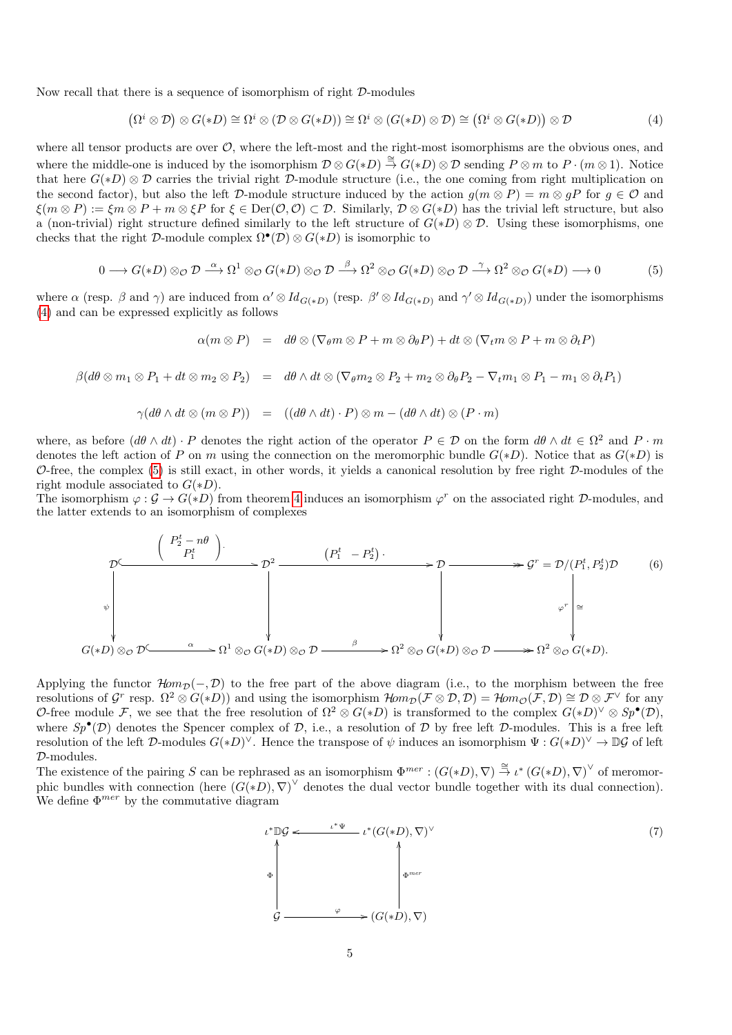Now recall that there is a sequence of isomorphism of right D-modules

<span id="page-4-0"></span>
$$
(\Omega^i \otimes \mathcal{D}) \otimes G(*D) \cong \Omega^i \otimes (\mathcal{D} \otimes G(*D)) \cong \Omega^i \otimes (G(*D) \otimes \mathcal{D}) \cong (\Omega^i \otimes G(*D)) \otimes \mathcal{D}
$$
(4)

where all tensor products are over  $\mathcal{O}$ , where the left-most and the right-most isomorphisms are the obvious ones, and where the middle-one is induced by the isomorphism  $\mathcal{D}\otimes G(*D) \stackrel{\cong}{\to} G(*D)\otimes \mathcal{D}$  sending  $P\otimes m$  to  $P\cdot (m\otimes 1)$ . Notice that here  $G(*D) \otimes \mathcal{D}$  carries the trivial right  $\mathcal{D}$ -module structure (i.e., the one coming from right multiplication on the second factor), but also the left D-module structure induced by the action  $g(m \otimes P) = m \otimes gP$  for  $g \in \mathcal{O}$  and  $\xi(m \otimes P) := \xi m \otimes P + m \otimes \xi P$  for  $\xi \in \text{Der}(\mathcal{O}, \mathcal{O}) \subset \mathcal{D}$ . Similarly,  $\mathcal{D} \otimes G(*D)$  has the trivial left structure, but also a (non-trivial) right structure defined similarly to the left structure of  $G(*D) \otimes \mathcal{D}$ . Using these isomorphisms, one checks that the right  $\mathcal{D}$ -module complex  $\Omega^{\bullet}(\mathcal{D}) \otimes G(*D)$  is isomorphic to

<span id="page-4-1"></span>
$$
0 \longrightarrow G(*D) \otimes_{\mathcal{O}} \mathcal{D} \stackrel{\alpha}{\longrightarrow} \Omega^1 \otimes_{\mathcal{O}} G(*D) \otimes_{\mathcal{O}} \mathcal{D} \stackrel{\beta}{\longrightarrow} \Omega^2 \otimes_{\mathcal{O}} G(*D) \otimes_{\mathcal{O}} \mathcal{D} \stackrel{\gamma}{\longrightarrow} \Omega^2 \otimes_{\mathcal{O}} G(*D) \longrightarrow 0
$$
 (5)

where  $\alpha$  (resp.  $\beta$  and  $\gamma$ ) are induced from  $\alpha' \otimes Id_{G(*D)}$  (resp.  $\beta' \otimes Id_{G(*D)}$  and  $\gamma' \otimes Id_{G(*D)}$ ) under the isomorphisms [\(4\)](#page-4-0) and can be expressed explicitly as follows

$$
\alpha(m \otimes P) = d\theta \otimes (\nabla_{\theta} m \otimes P + m \otimes \partial_{\theta} P) + dt \otimes (\nabla_{t} m \otimes P + m \otimes \partial_{t} P)
$$

$$
\beta(d\theta\otimes m_1\otimes P_1+dt\otimes m_2\otimes P_2)\hspace{2mm} = \hspace{2mm} d\theta\wedge dt\otimes (\nabla_\theta m_2\otimes P_2+m_2\otimes \partial_\theta P_2-\nabla_t m_1\otimes P_1-m_1\otimes \partial_t P_1)
$$

$$
\gamma(d\theta \wedge dt \otimes (m \otimes P)) = ((d\theta \wedge dt) \cdot P) \otimes m - (d\theta \wedge dt) \otimes (P \cdot m)
$$

where, as before  $(d\theta \wedge dt) \cdot P$  denotes the right action of the operator  $P \in \mathcal{D}$  on the form  $d\theta \wedge dt \in \Omega^2$  and  $P \cdot m$ denotes the left action of P on m using the connection on the meromorphic bundle  $G(*D)$ . Notice that as  $G(*D)$  is  $\mathcal{O}$ -free, the complex [\(5\)](#page-4-1) is still exact, in other words, it yields a canonical resolution by free right  $\mathcal{D}$ -modules of the right module associated to  $G(*D)$ .

The isomorphism  $\varphi : \mathcal{G} \to G(*D)$  from theorem [4](#page-2-0) induces an isomorphism  $\varphi^r$  on the associated right D-modules, and the latter extends to an isomorphism of complexes

<span id="page-4-2"></span>
$$
\mathcal{D} \left( \begin{array}{c} P_2^t - n\theta \\ P_1^t \end{array} \right). \qquad (P_1^t - P_2^t) \longrightarrow \mathcal{D} \longrightarrow \mathcal{D} \longrightarrow \mathcal{F} \longrightarrow \mathcal{F} \longrightarrow \mathcal{F} \longrightarrow \mathcal{F} \longrightarrow \mathcal{F} \longrightarrow \mathcal{F} \longrightarrow \mathcal{F} \longrightarrow \mathcal{F} \longrightarrow \mathcal{F} \longrightarrow \mathcal{F} \longrightarrow \mathcal{F} \longrightarrow \mathcal{F} \longrightarrow \mathcal{F} \longrightarrow \mathcal{F} \longrightarrow \mathcal{F} \longrightarrow \mathcal{F} \longrightarrow \mathcal{F} \longrightarrow \mathcal{F} \longrightarrow \mathcal{F} \longrightarrow \mathcal{F} \longrightarrow \mathcal{F} \longrightarrow \mathcal{F} \longrightarrow \mathcal{F} \longrightarrow \mathcal{F} \longrightarrow \mathcal{F} \longrightarrow \mathcal{F} \longrightarrow \mathcal{F} \longrightarrow \mathcal{F} \longrightarrow \mathcal{F} \longrightarrow \mathcal{F} \longrightarrow \mathcal{F} \longrightarrow \mathcal{F} \longrightarrow \mathcal{F} \longrightarrow \mathcal{F} \longrightarrow \mathcal{F} \longrightarrow \mathcal{F} \longrightarrow \mathcal{F} \longrightarrow \mathcal{F} \longrightarrow \mathcal{F} \longrightarrow \mathcal{F} \longrightarrow \mathcal{F} \longrightarrow \mathcal{F} \longrightarrow \mathcal{F} \longrightarrow \mathcal{F} \longrightarrow \mathcal{F} \longrightarrow \mathcal{F} \longrightarrow \mathcal{F} \longrightarrow \mathcal{F} \longrightarrow \mathcal{F} \longrightarrow \mathcal{F} \longrightarrow \mathcal{F} \longrightarrow \mathcal{F} \longrightarrow \mathcal{F} \longrightarrow \mathcal{F} \longrightarrow \mathcal{F} \longrightarrow \mathcal{F} \longrightarrow \mathcal{F} \longrightarrow \mathcal{F} \longrightarrow \mathcal{F} \longrightarrow \mathcal{F} \longrightarrow \mathcal{F} \longrightarrow \mathcal{F} \longrightarrow \mathcal{F} \longrightarrow \mathcal{F} \longrightarrow \mathcal{F} \longrightarrow \mathcal{F} \longrightarrow \mathcal{F} \longrightarrow \mathcal{F} \longrightarrow \mathcal{F} \longrightarrow \mathcal{F} \longrightarrow \mathcal{F} \longrightarrow \mathcal{F} \longrightarrow \mathcal{F} \longrightarrow \mathcal{F} \longrightarrow \mathcal{F} \longrightarrow \mathcal{F} \longrightarrow \mathcal{F} \longrightarrow \mathcal{F} \longrightarrow \mathcal{F} \longrightarrow \mathcal{F} \longrightarrow \mathcal{F} \longrightarrow \mathcal{F} \longrightarrow \mathcal{F} \longrightarrow \mathcal{F} \longrightarrow \mathcal{F} \longrightarrow \mathcal{F} \
$$

Applying the functor  $\mathcal{H}om_{\mathcal{D}}(-, \mathcal{D})$  to the free part of the above diagram (i.e., to the morphism between the free resolutions of G<sup>r</sup> resp.  $\Omega^2 \otimes G(*D)$  and using the isomorphism  $\mathcal{H}\negthinspace om_{\mathcal{D}}(\mathcal{F} \otimes \mathcal{D}, \mathcal{D}) = \mathcal{H}\negthinspace om_{\mathcal{O}}(\mathcal{F}, \mathcal{D}) \cong \mathcal{D} \otimes \mathcal{F}^\vee$  for any O-free module F, we see that the free resolution of  $\Omega^2 \otimes G(*D)$  is transformed to the complex  $G(*D)^{\vee} \otimes Sp^{\bullet}(\mathcal{D})$ , where  $Sp^{\bullet}(\mathcal{D})$  denotes the Spencer complex of  $\mathcal{D}$ , i.e., a resolution of  $\mathcal D$  by free left  $\mathcal D$ -modules. This is a free left resolution of the left D-modules  $G(*D)^{\vee}$ . Hence the transpose of  $\psi$  induces an isomorphism  $\Psi: G(*D)^{\vee} \to \mathbb{D}\mathcal{G}$  of left D-modules.

The existence of the pairing S can be rephrased as an isomorphism  $\Phi^{mer} : (G(*D), \nabla) \stackrel{\cong}{\to} \iota^* (G(*D), \nabla)^{\vee}$  of meromorphic bundles with connection (here  $(G(*D), \nabla)^{\vee}$  denotes the dual vector bundle together with its dual connection). We define  $\Phi^{mer}$  by the commutative diagram

<span id="page-4-3"></span>
$$
\begin{array}{ccc}\n\iota^* \mathbb{D} \mathcal{G} & \xrightarrow{\iota^* \Psi} & \iota^* (G(*D), \nabla)^\vee \\
\uparrow & & \\
\downarrow & & \\
\downarrow & & \\
\downarrow & & \\
\mathcal{G} & \xrightarrow{\varphi} & \searrow (G(*D), \nabla)\n\end{array} \tag{7}
$$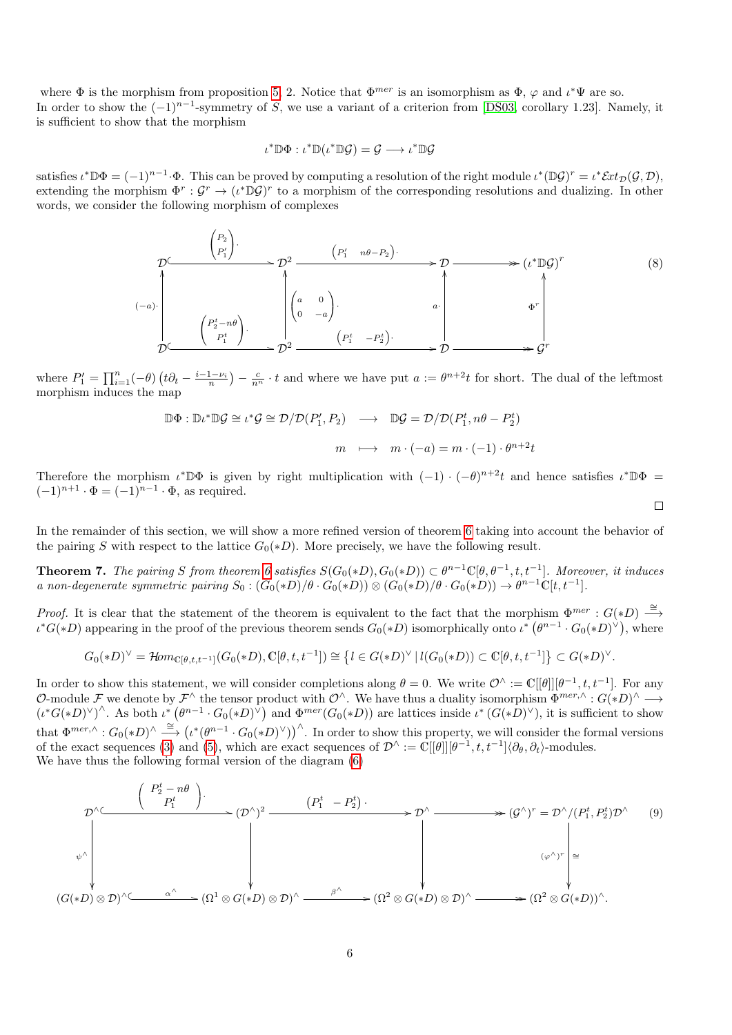where  $\Phi$  is the morphism from proposition [5,](#page-0-0) 2. Notice that  $\Phi^{mer}$  is an isomorphism as  $\Phi$ ,  $\varphi$  and  $\iota^*\Psi$  are so. In order to show the  $(-1)^{n-1}$ -symmetry of S, we use a variant of a criterion from [\[DS03,](#page-9-1) corollary 1.23]. Namely, it is sufficient to show that the morphism

$$
\iota^* \mathbb{D} \Phi : \iota^* \mathbb{D} (\iota^* \mathbb{D} \mathcal{G}) = \mathcal{G} \longrightarrow \iota^* \mathbb{D} \mathcal{G}
$$

satisfies  $\iota^* \mathbb{D} \Phi = (-1)^{n-1} \cdot \Phi$ . This can be proved by computing a resolution of the right module  $\iota^* (\mathbb{D} \mathcal{G})^r = \iota^* \mathcal{E}xt_{\mathcal{D}}(\mathcal{G}, \mathcal{D})$ , extending the morphism  $\Phi^r: \mathcal{G}^r \to (\iota^*\mathbb{D}\mathcal{G})^r$  to a morphism of the corresponding resolutions and dualizing. In other words, we consider the following morphism of complexes

$$
\mathcal{D} \longrightarrow \begin{pmatrix} P_2 \\ P'_1 \end{pmatrix} \longrightarrow \mathcal{D}^2 \longrightarrow \begin{pmatrix} P'_1 & n\theta - P_2 \end{pmatrix} \longrightarrow \mathcal{D} \longrightarrow (\iota^* \mathbb{D}\mathcal{G})^r
$$
\n
$$
(-a) \cdot \begin{pmatrix} P'_2 - n\theta \\ P'_1 \end{pmatrix} \longrightarrow \begin{pmatrix} a & 0 \\ 0 & -a \end{pmatrix} \longrightarrow \begin{pmatrix} a & 0 \\ 0 & -a \end{pmatrix} \longrightarrow \begin{pmatrix} a & 0 \\ 0 & -b & a \end{pmatrix} \longrightarrow \begin{pmatrix} a & 0 \\ 0 & -b & a \end{pmatrix} \longrightarrow \begin{pmatrix} a & 0 \\ 0 & -b & a \end{pmatrix} \longrightarrow \mathcal{D} \longrightarrow \mathcal{G}^r
$$
\n
$$
(8)
$$

where  $P'_1 = \prod_{i=1}^n (-\theta) \left(t\partial_t - \frac{i-1-\nu_i}{n}\right) - \frac{c}{n^n} \cdot t$  and where we have put  $a := \theta^{n+2}t$  for short. The dual of the leftmost morphism induces the map

$$
\mathbb{D}\Phi : \mathbb{D}t^*\mathbb{D}\mathcal{G} \cong t^*\mathcal{G} \cong \mathcal{D}/\mathcal{D}(P'_1, P_2) \longrightarrow \mathbb{D}\mathcal{G} = \mathcal{D}/\mathcal{D}(P'_1, n\theta - P'_2)
$$
  

$$
m \longmapsto m \cdot (-a) = m \cdot (-1) \cdot \theta^{n+2}t
$$

Therefore the morphism  $\iota^* \mathbb{D} \Phi$  is given by right multiplication with  $(-1) \cdot (-\theta)^{n+2}t$  and hence satisfies  $\iota^* \mathbb{D} \Phi =$  $(-1)^{n+1} \cdot \Phi = (-1)^{n-1} \cdot \Phi$ , as required.

In the remainder of this section, we will show a more refined version of theorem [6](#page-3-1) taking into account the behavior of the pairing S with respect to the lattice  $G_0(*D)$ . More precisely, we have the following result.

<span id="page-5-1"></span>**Theorem 7.** The pairing S from theorem [6](#page-3-1) satisfies  $S(G_0(*D), G_0(*D)) \subset \theta^{n-1}\mathbb{C}[\theta, \theta^{-1}, t, t^{-1}]$ . Moreover, it induces a non-degenerate symmetric pairing  $S_0$ :  $(G_0(*D)/\theta \cdot G_0(*D)) \otimes (G_0(*D)/\theta \cdot G_0(*D)) \rightarrow \theta^{n-1} \mathbb{C}[t, t^{-1}]$ .

*Proof.* It is clear that the statement of the theorem is equivalent to the fact that the morphism  $\Phi^{mer}$ :  $G(*D) \stackrel{\cong}{\longrightarrow}$  $\iota^*G(*D)$  appearing in the proof of the previous theorem sends  $G_0(*D)$  isomorphically onto  $\iota^* \left( \theta^{n-1} \cdot G_0(*D)^\vee \right)$ , where

$$
G_0(*D)^{\vee} = \mathcal{H}om_{\mathbb{C}[\theta,t,t^{-1}]}(G_0(*D), \mathbb{C}[\theta,t,t^{-1}]) \cong \left\{ l \in G(*D)^{\vee} \mid l(G_0(*D)) \subset \mathbb{C}[\theta,t,t^{-1}] \right\} \subset G(*D)^{\vee}.
$$

In order to show this statement, we will consider completions along  $\theta = 0$ . We write  $\mathcal{O}^{\wedge} := \mathbb{C}[[\theta]][\theta^{-1}, t, t^{-1}]$ . For any O-module F we denote by  $\mathcal{F}^{\wedge}$  the tensor product with  $\mathcal{O}^{\wedge}$ . We have thus a duality isomorphism  $\Phi^{mer,\wedge}: G(*D)^{\wedge} \longrightarrow$  $(\iota^*G(*D)^{\vee})^{\wedge}$ . As both  $\iota^*\left(\theta^{n-1}\cdot G_0(*D)^{\vee}\right)$  and  $\Phi^{mer}(G_0(*D))$  are lattices inside  $\iota^*(G(*D)^{\vee})$ , it is sufficient to show that  $\Phi^{mer,\wedge}: G_0(*D)^\wedge \stackrel{\cong}{\longrightarrow} (\iota^*(\theta^{n-1} \cdot G_0(*D)^\vee))^{\wedge}$ . In order to show this property, we will consider the formal versions of the exact sequences [\(3\)](#page-3-0) and [\(5\)](#page-4-1), which are exact sequences of  $\mathcal{D}^{\wedge} := \mathbb{C}[[\theta]][[\theta^{-1}, t, t^{-1}]\langle\partial_{\theta}, \partial_{t}\rangle$ -modules. We have thus the following formal version of the diagram [\(6\)](#page-4-2)

<span id="page-5-0"></span>
$$
\mathcal{D}^{\wedge} \underbrace{\begin{pmatrix} P_2^t - n\theta \\ P_1^t \end{pmatrix}}_{\psi^{\wedge} \phi^{\wedge}} (\mathcal{D}^{\wedge})^2 \xrightarrow{\qquad (P_1^t - P_2^t) \cdot \qquad} \mathcal{D}^{\wedge} \xrightarrow{\qquad (\mathcal{G}^{\wedge})^r = \mathcal{D}^{\wedge} / (P_1^t, P_2^t) \mathcal{D}^{\wedge} \qquad (9)
$$
\n
$$
\downarrow^{\wedge} \downarrow^{\qquad \qquad (\varphi^{\wedge})^r \downarrow^{\cong} \qquad (\varphi^{\wedge})^r \downarrow^{\cong} \qquad (\varphi^{\wedge})^r \downarrow^{\cong} \qquad (\varphi^{\wedge})^r \downarrow^{\cong} \qquad (\varphi^{\wedge})^r \downarrow^{\cong} \qquad (\varphi^{\wedge})^r \downarrow^{\cong} \qquad (\varphi^{\wedge})^r \downarrow^{\cong} \qquad (\varphi^{\wedge})^r \downarrow^{\cong} \qquad (\varphi^{\wedge})^r \downarrow^{\cong} \qquad (\varphi^{\wedge})^r \downarrow^{\cong} \qquad (\varphi^{\wedge})^r \downarrow^{\cong} \qquad (\varphi^{\wedge})^r \downarrow^{\cong} \qquad (\varphi^{\wedge})^r \downarrow^{\cong} \qquad (\varphi^{\wedge})^r \downarrow^{\cong} \qquad (\varphi^{\wedge})^r \downarrow^{\cong} \qquad (\varphi^{\wedge})^r \downarrow^{\cong} \qquad (\varphi^{\wedge})^r \downarrow^{\cong} \qquad (\varphi^{\wedge})^r \downarrow^{\cong} \qquad (\varphi^{\wedge})^r \downarrow^{\cong} \qquad (\varphi^{\wedge})^r \downarrow^{\cong} \qquad (\varphi^{\wedge})^r \downarrow^{\cong} \qquad (\varphi^{\wedge})^r \downarrow^{\cong} \qquad (\varphi^{\wedge})^r \downarrow^{\cong} \qquad (\varphi^{\wedge})^r \downarrow^{\cong} \qquad (\varphi^{\wedge})^r \downarrow^{\cong} \qquad (\varphi^{\wedge})^r \downarrow^{\cong} \qquad (\varphi^{\wedge})^r \downarrow^{\cong} \qquad
$$

 $\Box$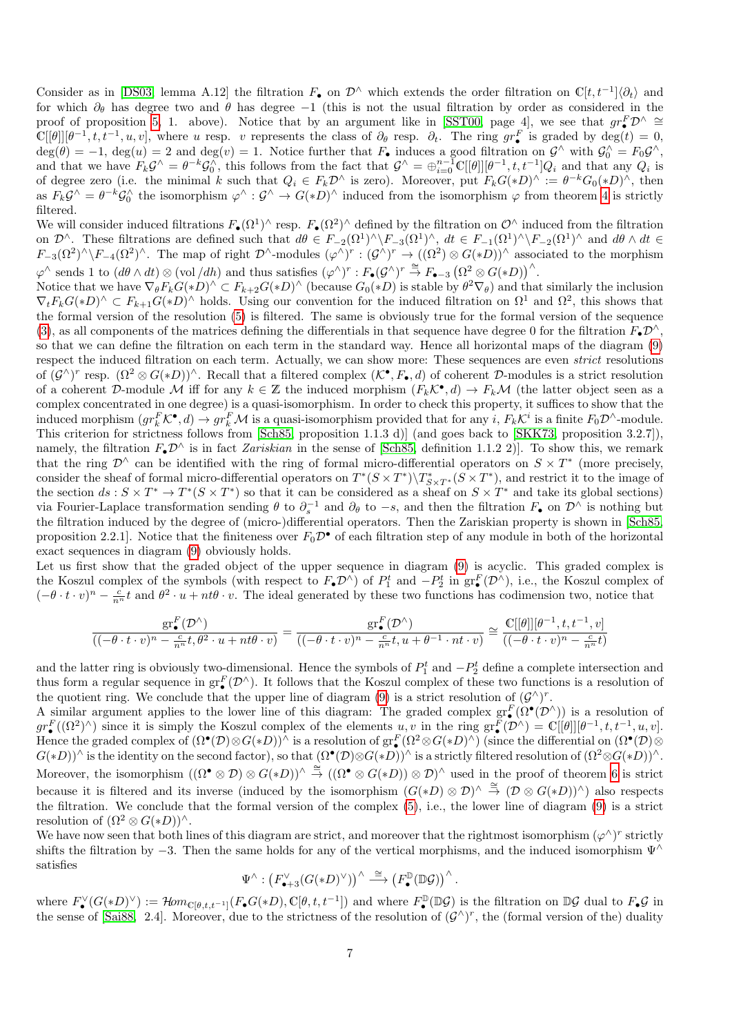Consider as in [\[DS03,](#page-9-1) lemma A.12] the filtration  $F_{\bullet}$  on  $\mathcal{D}^{\wedge}$  which extends the order filtration on  $\mathbb{C}[t,t^{-1}]\langle\partial_t\rangle$  and for which  $\partial_{\theta}$  has degree two and  $\theta$  has degree −1 (this is not the usual filtration by order as considered in the proof of proposition [5,](#page-0-0) 1. above). Notice that by an argument like in [\[SST00,](#page-9-10) page 4], we see that  $gr^F_{\bullet}D^{\wedge} \cong$  $\mathbb{C}[[\theta]][\theta^{-1}, t, t^{-1}, u, v],$  where u resp. v represents the class of  $\partial_{\theta}$  resp.  $\partial_{t}$ . The ring  $gr_{\bullet}^{F}$  is graded by  $deg(t) = 0$ ,  $deg(\theta) = -1$ ,  $deg(u) = 2$  and  $deg(v) = 1$ . Notice further that  $F_{\bullet}$  induces a good filtration on  $\mathcal{G}^{\wedge}$  with  $\mathcal{G}^{\wedge}_0 = F_0 \mathcal{G}^{\wedge}$ . and that we have  $F_k \mathcal{G}^{\wedge} = \theta^{-k} \mathcal{G}_0^{\wedge}$ , this follows from the fact that  $\mathcal{G}^{\wedge} = \bigoplus_{i=0}^{n-1} \mathbb{C}[[\theta]][\theta^{-1}, t, t^{-1}]Q_i$  and that any  $Q_i$  is of degree zero (i.e. the minimal k such that  $Q_i \in F_k \mathcal{D}^{\wedge}$  is zero). Moreover, put  $F_k G(*D)^{\wedge} := \theta^{-k} G_0(*D)^{\wedge}$ , then as  $F_k \mathcal{G}^{\wedge} = \theta^{-k} \mathcal{G}_0^{\wedge}$  the isomorphism  $\varphi^{\wedge} : \mathcal{G}^{\wedge} \to G(*D)^{\wedge}$  induced from the isomorphism  $\varphi$  from theorem [4](#page-2-0) is strictly filtered.

We will consider induced filtrations  $F_{\bullet}(\Omega^1)^{\wedge}$  resp.  $F_{\bullet}(\Omega^2)^{\wedge}$  defined by the filtration on  $\mathcal{O}^{\wedge}$  induced from the filtration on  $\mathcal{D}^{\wedge}$ . These filtrations are defined such that  $d\theta \in F_{-2}(\Omega^1)^{\wedge} \backslash F_{-3}(\Omega^1)^{\wedge}$ ,  $dt \in F_{-1}(\Omega^1)^{\wedge} \backslash F_{-2}(\Omega^1)^{\wedge}$  and  $d\theta \wedge dt \in$  $F_{-3}(\Omega^2)^{\wedge}\backslash F_{-4}(\Omega^2)^{\wedge}$ . The map of right  $\mathcal{D}^{\wedge}$ -modules  $(\varphi^{\wedge})^r : (\mathcal{G}^{\wedge})^r \to ((\Omega^2) \otimes G(*D))^{\wedge}$  associated to the morphism  $\varphi^{\wedge}$  sends 1 to  $(d\theta \wedge dt) \otimes (vol/dh)$  and thus satisfies  $(\varphi^{\wedge})^r : F_{\bullet}(\mathcal{G}^{\wedge})^r \stackrel{\cong}{\to} F_{\bullet-3}(\Omega^2 \otimes G(*D))^{\wedge}$ .

Notice that we have  $\nabla_{\theta} F_k G(*D)^{\wedge} \subset F_{k+2} G(*D)^{\wedge}$  (because  $G_0(*D)$  is stable by  $\theta^2 \nabla_{\theta}$ ) and that similarly the inclusion  $\nabla_t F_k G(*D)^\wedge \subset F_{k+1} G(*D)^\wedge$  holds. Using our convention for the induced filtration on  $\Omega^1$  and  $\Omega^2$ , this shows that the formal version of the resolution [\(5\)](#page-4-1) is filtered. The same is obviously true for the formal version of the sequence [\(3\)](#page-3-0), as all components of the matrices defining the differentials in that sequence have degree 0 for the filtration  $F_{\bullet} \mathcal{D}^{\wedge}$ . so that we can define the filtration on each term in the standard way. Hence all horizontal maps of the diagram [\(9\)](#page-5-0) respect the induced filtration on each term. Actually, we can show more: These sequences are even *strict* resolutions of  $(\mathcal{G}^{\wedge})^r$  resp.  $(\Omega^2 \otimes G(*D))^{\wedge}$ . Recall that a filtered complex  $(\mathcal{K}^{\bullet}, F_{\bullet}, d)$  of coherent D-modules is a strict resolution of a coherent D-module M iff for any  $k \in \mathbb{Z}$  the induced morphism  $(F_k \mathcal{K}^{\bullet}, d) \to F_k \mathcal{M}$  (the latter object seen as a complex concentrated in one degree) is a quasi-isomorphism. In order to check this property, it suffices to show that the induced morphism  $(gr_k^F \mathcal{K}^{\bullet}, d) \to gr_k^F \mathcal{M}$  is a quasi-isomorphism provided that for any  $i, F_k \mathcal{K}^i$  is a finite  $F_0 \mathcal{D}^{\wedge}$ -module. This criterion for strictness follows from [\[Sch85,](#page-9-11) proposition 1.1.3 d)] (and goes back to [\[SKK73,](#page-9-12) proposition 3.2.7]), namely, the filtration  $F_{\bullet} \mathcal{D}^{\wedge}$  is in fact Zariskian in the sense of [\[Sch85,](#page-9-11) definition 1.1.2 2)]. To show this, we remark that the ring  $\mathcal{D}^{\wedge}$  can be identified with the ring of formal micro-differential operators on  $S \times T^*$  (more precisely, consider the sheaf of formal micro-differential operators on  $T^*(S \times T^*)\backslash T^*_{S \times T^*}(S \times T^*)$ , and restrict it to the image of the section  $ds : S \times T^* \to T^*(S \times T^*)$  so that it can be considered as a sheaf on  $S \times T^*$  and take its global sections) via Fourier-Laplace transformation sending  $\theta$  to  $\partial_s^{-1}$  and  $\partial_\theta$  to  $-s$ , and then the filtration  $F_{\bullet}$  on  $\mathcal{D}^{\wedge}$  is nothing but the filtration induced by the degree of (micro-)differential operators. Then the Zariskian property is shown in [\[Sch85,](#page-9-11) proposition 2.2.1]. Notice that the finiteness over  $F_0\mathcal{D}^{\bullet}$  of each filtration step of any module in both of the horizontal exact sequences in diagram [\(9\)](#page-5-0) obviously holds.

Let us first show that the graded object of the upper sequence in diagram [\(9\)](#page-5-0) is acyclic. This graded complex is the Koszul complex of the symbols (with respect to  $F_{\bullet} \mathcal{D}^{\wedge}$ ) of  $P_1^t$  and  $-P_2^t$  in  $gr_{\bullet}^F(\mathcal{D}^{\wedge})$ , i.e., the Koszul complex of  $(-\theta \cdot t \cdot v)^n - \frac{c}{n^n}t$  and  $\theta^2 \cdot u + nt\theta \cdot v$ . The ideal generated by these two functions has codimension two, notice that

$$
\frac{\mathrm{gr}^F_{{\bullet}}(\mathcal{D}^\wedge)}{((-\theta \cdot t \cdot v)^n-\frac{c}{n^n}t,\theta^2 \cdot u+nt\theta \cdot v)}=\frac{\mathrm{gr}^F_{{\bullet}}(\mathcal{D}^\wedge)}{((-\theta \cdot t \cdot v)^n-\frac{c}{n^n}t,u+\theta^{-1} \cdot nt \cdot v)}\cong \frac{\mathbb{C}[[\theta]][\theta^{-1},t,t^{-1},v]}{((-\theta \cdot t \cdot v)^n-\frac{c}{n^n}t)}
$$

and the latter ring is obviously two-dimensional. Hence the symbols of  $P_1^t$  and  $-P_2^t$  define a complete intersection and thus form a regular sequence in  $gr_{\bullet}^{F}(\mathcal{D}^{\wedge})$ . It follows that the Koszul complex of these two functions is a resolution of the quotient ring. We conclude that the upper line of diagram [\(9\)](#page-5-0) is a strict resolution of  $(\mathcal{G}^{\wedge})^r$ .

A similar argument applies to the lower line of this diagram: The graded complex  $gr^F_{\bullet}(\Omega^{\bullet}(\mathcal{D}^{\wedge}))$  is a resolution of  $gr^F_{\bullet}((\Omega^2)^{\wedge})$  since it is simply the Koszul complex of the elements  $u, v$  in the ring  $gr^F_{\bullet}(\mathcal{D}^{\wedge}) = \mathbb{C}[[\theta]][[\theta^{-1}, t, t^{-1}, u, v].$ Hence the graded complex of  $(\Omega^{\bullet}(\mathcal{D})\otimes G(*D))^{\wedge}$  is a resolution of  $gr_{\bullet}^{F}(\Omega^{2}\otimes G(*D)^{\wedge})$  (since the differential on  $(\Omega^{\bullet}(\mathcal{D})\otimes G(*D))^{\wedge}$ )  $G(*D)$ <sup> $\wedge$ </sup> is the identity on the second factor), so that  $(\Omega^{\bullet}(\mathcal{D})\otimes G(*D))^{\wedge}$  is a strictly filtered resolution of  $(\Omega^2\otimes G(*D))^{\wedge}$ . Moreover, the isomorphism  $((\Omega^{\bullet} \otimes \mathcal{D}) \otimes G(*D))^{\wedge} \stackrel{\cong}{\rightarrow} ((\Omega^{\bullet} \otimes G(*D)) \otimes \mathcal{D})^{\wedge}$  used in the proof of theorem [6](#page-3-1) is strict because it is filtered and its inverse (induced by the isomorphism  $(G(*D) \otimes D)^{\wedge} \stackrel{\cong}{\to} (D \otimes G(*D))^{\wedge}$ ) also respects the filtration. We conclude that the formal version of the complex [\(5\)](#page-4-1), i.e., the lower line of diagram [\(9\)](#page-5-0) is a strict resolution of  $(\Omega^2 \otimes G(*D))^{\wedge}$ .

We have now seen that both lines of this diagram are strict, and moreover that the rightmost isomorphism  $(\varphi^{\wedge})^r$  strictly shifts the filtration by  $-3$ . Then the same holds for any of the vertical morphisms, and the induced isomorphism  $\Psi^{\wedge}$ satisfies

$$
\Psi^{\wedge}:\left(F_{\bullet+3}^{\vee}(G(*D)^{\vee})\right)^{\wedge}\stackrel{\cong}\longrightarrow \left(F_{\bullet}^{\mathbb{D}}(\mathbb{D}\mathcal{G})\right)^{\wedge}.
$$

where  $F_{\bullet}^{\vee}(G(*D)^{\vee}) := \mathcal{H}om_{\mathbb{C}[\theta,t,t^{-1}]}(F_{\bullet}G(*D), \mathbb{C}[\theta,t,t^{-1}])$  and where  $F_{\bullet}^{\mathbb{D}}(\mathbb{D}\mathcal{G})$  is the filtration on  $\mathbb{D}\mathcal{G}$  dual to  $F_{\bullet}\mathcal{G}$  in the sense of [\[Sai88,](#page-9-13) 2.4]. Moreover, due to the strictness of the resolution of  $(G^{\wedge})^r$ , the (formal version of the) duality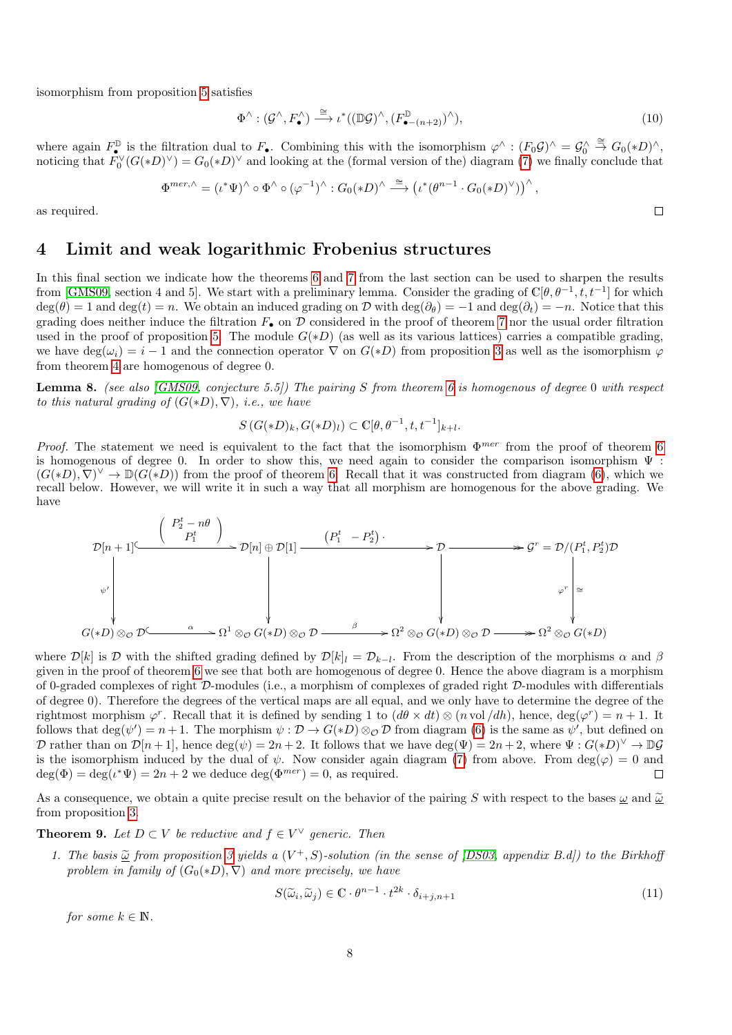isomorphism from proposition [5](#page-0-0) satisfies

$$
\Phi^{\wedge} : (\mathcal{G}^{\wedge}, F_{\bullet}^{\wedge}) \xrightarrow{\cong} \iota^*((\mathbb{D}\mathcal{G})^{\wedge}, (F_{\bullet-(n+2)}^{\mathbb{D}})^{\wedge}),
$$
\n(10)

 $\Box$ 

where again  $F_{\bullet}^{\mathbb{D}}$  is the filtration dual to  $F_{\bullet}$ . Combining this with the isomorphism  $\varphi^{\wedge} : (F_0 \mathcal{G})^{\wedge} = \mathcal{G}_0^{\wedge} \stackrel{\cong}{\to} G_0(*D)^{\wedge}$ , noticing that  $F_0^{\vee}(G(*D)^{\vee}) = G_0(*D)^{\vee}$  and looking at the (formal version of the) diagram [\(7\)](#page-4-3) we finally conclude that

$$
\Phi^{mer,\wedge} = (\iota^* \Psi)^\wedge \circ \Phi^\wedge \circ (\varphi^{-1})^\wedge : G_0 (*D)^\wedge \stackrel{\cong}{\longrightarrow} (\iota^* (\theta^{n-1} \cdot G_0 (*D)^\vee))^\wedge ,
$$

as required.

### 4 Limit and weak logarithmic Frobenius structures

In this final section we indicate how the theorems [6](#page-3-1) and [7](#page-5-1) from the last section can be used to sharpen the results from [\[GMS09,](#page-9-0) section 4 and 5]. We start with a preliminary lemma. Consider the grading of  $\mathbb{C}[\theta, \theta^{-1}, t, t^{-1}]$  for which  $\deg(\theta) = 1$  and  $\deg(t) = n$ . We obtain an induced grading on D with  $\deg(\partial_{\theta}) = -1$  and  $\deg(\partial_t) = -n$ . Notice that this grading does neither induce the filtration  $F_{\bullet}$  on  $\mathcal D$  considered in the proof of theorem [7](#page-5-1) nor the usual order filtration used in the proof of proposition [5.](#page-0-0) The module  $G(*D)$  (as well as its various lattices) carries a compatible grading, we have  $\deg(\omega_i) = i - 1$  and the connection operator  $\nabla$  on  $G(*D)$  from proposition [3](#page-0-0) as well as the isomorphism  $\varphi$ from theorem [4](#page-2-0) are homogenous of degree 0.

<span id="page-7-0"></span>**Lemma 8.** (see also [\[GMS09,](#page-9-0) conjecture 5.5]) The pairing S from theorem [6](#page-3-1) is homogenous of degree 0 with respect to this natural grading of  $(G(*D), \nabla)$ , i.e., we have

$$
S(G(*D)_k, G(*D)_l) \subset \mathbb{C}[\theta, \theta^{-1}, t, t^{-1}]_{k+l}.
$$

*Proof.* The statement we need is equivalent to the fact that the isomorphism  $\Phi^{mer}$  from the proof of theorem [6](#page-3-1) is homogenous of degree 0. In order to show this, we need again to consider the comparison isomorphism  $\Psi$ :  $(G(*D), \nabla)^{\vee} \to \mathbb{D}(G(*D))$  from the proof of theorem [6.](#page-3-1) Recall that it was constructed from diagram [\(6\)](#page-4-2), which we recall below. However, we will write it in such a way that all morphism are homogenous for the above grading. We have

$$
\mathcal{D}[n+1] \xrightarrow{\begin{pmatrix} P_2^t - n\theta \\ P_1^t \end{pmatrix}} \mathcal{D}[n] \oplus \mathcal{D}[1] \xrightarrow{\begin{pmatrix} (P_1^t - P_2^t) \\ P_1^t \end{pmatrix}} \mathcal{D} \longrightarrow \mathcal{D} \longrightarrow \mathcal{D} \longrightarrow \mathcal{D} \longrightarrow \mathcal{D} \longrightarrow \mathcal{D} \longrightarrow \mathcal{D} \longrightarrow \mathcal{D} \longrightarrow \mathcal{D} \longrightarrow \mathcal{D} \longrightarrow \mathcal{D} \longrightarrow \mathcal{D} \longrightarrow \mathcal{D} \longrightarrow \mathcal{D} \longrightarrow \mathcal{D} \longrightarrow \mathcal{D} \longrightarrow \mathcal{D} \longrightarrow \mathcal{D} \longrightarrow \mathcal{D} \longrightarrow \mathcal{D} \longrightarrow \mathcal{D} \longrightarrow \mathcal{D} \longrightarrow \mathcal{D} \longrightarrow \mathcal{D} \longrightarrow \mathcal{D} \longrightarrow \mathcal{D} \longrightarrow \mathcal{D} \longrightarrow \mathcal{D} \longrightarrow \mathcal{D} \longrightarrow \mathcal{D} \longrightarrow \mathcal{D} \longrightarrow \mathcal{D} \longrightarrow \mathcal{D} \longrightarrow \mathcal{D} \longrightarrow \mathcal{D} \longrightarrow \mathcal{D} \longrightarrow \mathcal{D} \longrightarrow \mathcal{D} \longrightarrow \mathcal{D} \longrightarrow \mathcal{D} \longrightarrow \mathcal{D} \longrightarrow \mathcal{D} \longrightarrow \mathcal{D} \longrightarrow \mathcal{D} \longrightarrow \mathcal{D} \longrightarrow \mathcal{D} \longrightarrow \mathcal{D} \longrightarrow \mathcal{D} \longrightarrow \mathcal{D} \longrightarrow \mathcal{D} \longrightarrow \mathcal{D} \longrightarrow \mathcal{D} \longrightarrow \mathcal{D} \longrightarrow \mathcal{D} \longrightarrow \mathcal{D} \longrightarrow \mathcal{D} \longrightarrow \mathcal{D} \longrightarrow \mathcal{D} \longrightarrow \mathcal{D} \longrightarrow \mathcal{D} \longrightarrow \mathcal{D} \longrightarrow \mathcal{D} \longrightarrow \mathcal{D} \longrightarrow \mathcal{D} \longrightarrow \mathcal{D} \longrightarrow \mathcal{D} \longrightarrow \mathcal{D} \longrightarrow \mathcal{D} \longrightarrow \mathcal{D} \longrightarrow \mathcal{D} \longrightarrow \mathcal{D} \longrightarrow \mathcal{D} \longrightarrow \mathcal{D} \longrightarrow \mathcal{D} \longrightarrow \mathcal{D} \longrightarrow \mathcal{D} \longrightarrow \mathcal{D} \longrightarrow \mathcal{D} \longrightarrow \mathcal{D} \longrightarrow \mathcal{D} \longrightarrow \mathcal{D} \longrightarrow \mathcal{D} \longrightarrow \mathcal{D} \longrightarrow \mathcal
$$

where  $\mathcal{D}[k]$  is D with the shifted grading defined by  $\mathcal{D}[k]_l = \mathcal{D}_{k-l}$ . From the description of the morphisms  $\alpha$  and  $\beta$ given in the proof of theorem [6](#page-3-1) we see that both are homogenous of degree 0. Hence the above diagram is a morphism of 0-graded complexes of right D-modules (i.e., a morphism of complexes of graded right D-modules with differentials of degree 0). Therefore the degrees of the vertical maps are all equal, and we only have to determine the degree of the rightmost morphism  $\varphi^r$ . Recall that it is defined by sending 1 to  $(d\theta \times dt) \otimes (n \text{ vol}/dh)$ , hence,  $deg(\varphi^r) = n + 1$ . It follows that  $\deg(\psi') = n+1$ . The morphism  $\psi : \mathcal{D} \to G(*D) \otimes_{\mathcal{O}} \mathcal{D}$  from diagram [\(6\)](#page-4-2) is the same as  $\psi'$ , but defined on D rather than on  $\mathcal{D}[n+1]$ , hence  $\deg(\psi) = 2n+2$ . It follows that we have  $\deg(\Psi) = 2n+2$ , where  $\Psi: G(*D)^{\vee} \to \mathbb{D}\mathcal{G}$ is the isomorphism induced by the dual of  $\psi$ . Now consider again diagram [\(7\)](#page-4-3) from above. From deg( $\varphi$ ) = 0 and  $deg(\Phi) = deg(\iota^* \Psi) = 2n + 2$  we deduce  $deg(\Phi^{mer}) = 0$ , as required.  $\Box$ 

As a consequence, we obtain a quite precise result on the behavior of the pairing S with respect to the bases  $\omega$  and  $\tilde{\omega}$ from proposition [3.](#page-0-0)

**Theorem 9.** Let  $D \subset V$  be reductive and  $f \in V^{\vee}$  generic. Then

1. The basis  $\tilde{\omega}$  from proposition [3](#page-0-0) yields a  $(V^+, S)$ -solution (in the sense of [\[DS03,](#page-9-1) appendix B.d]) to the Birkhoff problem in family of  $(G_0(*D), \nabla)$  and more precisely, we have

<span id="page-7-1"></span>
$$
S(\widetilde{\omega}_i, \widetilde{\omega}_j) \in \mathbb{C} \cdot \theta^{n-1} \cdot t^{2k} \cdot \delta_{i+j, n+1} \tag{11}
$$

for some  $k \in \mathbb{N}$ .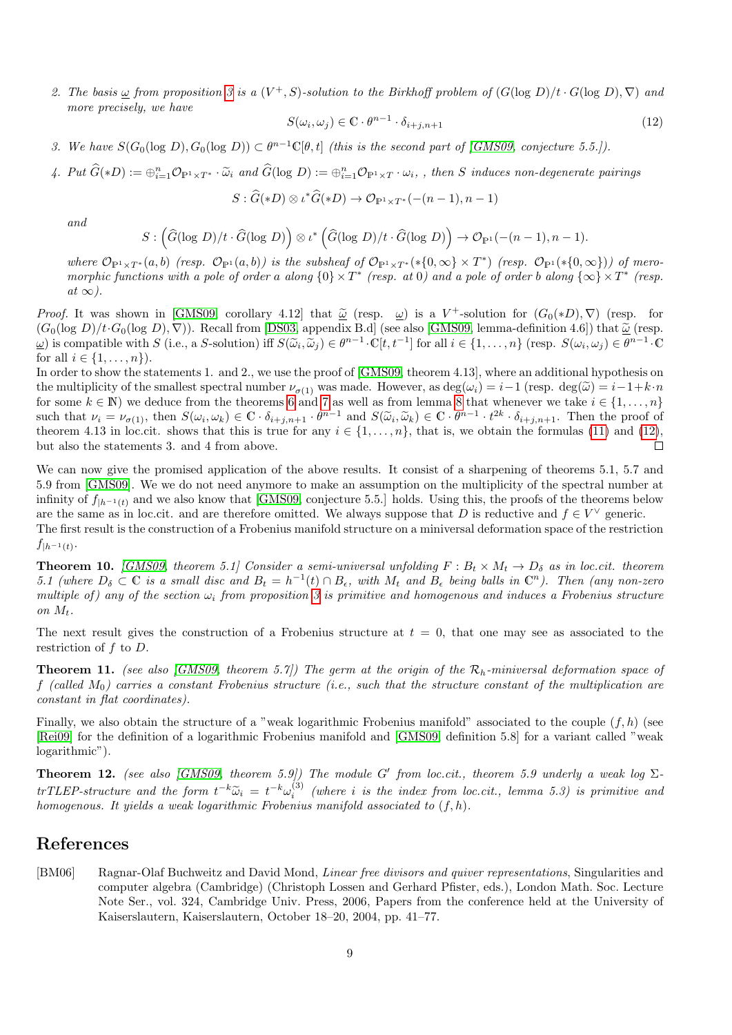2. The basis  $\omega$  from proposition [3](#page-0-0) is a  $(V^+, S)$ -solution to the Birkhoff problem of  $(G(\log D)/t \cdot G(\log D), \nabla)$  and more precisely, we have

<span id="page-8-1"></span>
$$
S(\omega_i, \omega_j) \in \mathbb{C} \cdot \theta^{n-1} \cdot \delta_{i+j, n+1} \tag{12}
$$

3. We have  $S(G_0(\log D), G_0(\log D)) \subset \theta^{n-1}\mathbb{C}[\theta, t]$  (this is the second part of [\[GMS09,](#page-9-0) conjecture 5.5.]).

4. Put  $\hat{G}(*D) := \bigoplus_{i=1}^n \mathcal{O}_{\mathbb{P}^1 \times T^*} \cdot \tilde{\omega}_i$  and  $\hat{G}(\log D) := \bigoplus_{i=1}^n \mathcal{O}_{\mathbb{P}^1 \times T} \cdot \omega_i$ , then S induces non-degenerate pairings

$$
S: \widehat{G}(*D) \otimes \iota^* \widehat{G}(*D) \to \mathcal{O}_{\mathbb{P}^1 \times T^*}(-(n-1), n-1)
$$

and

$$
S: (\widehat{G}(\log D)/t \cdot \widehat{G}(\log D)) \otimes \iota^* (\widehat{G}(\log D)/t \cdot \widehat{G}(\log D)) \rightarrow \mathcal{O}_{\mathbb{P}^1}(-(n-1), n-1).
$$

where  $\mathcal{O}_{\mathbb{P}^1 \times T^*}(a, b)$  (resp.  $\mathcal{O}_{\mathbb{P}^1}(a, b)$ ) is the subsheaf of  $\mathcal{O}_{\mathbb{P}^1 \times T^*}(*\{0, \infty\} \times T^*)$  (resp.  $\mathcal{O}_{\mathbb{P}^1}(*\{0, \infty\})$ ) of meromorphic functions with a pole of order a along  $\{0\} \times T^*$  (resp. at 0) and a pole of order b along  $\{\infty\} \times T^*$  (resp.  $at \infty$ ).

Proof. It was shown in [\[GMS09,](#page-9-0) corollary 4.12] that  $\tilde{\omega}$  (resp.  $\omega$ ) is a V<sup>+</sup>-solution for  $(G_0(*D), \nabla)$  (resp. for  $(G_0(*D), \nabla)$ ) (resp. for  $(G_0(*D), \nabla)$ ). Becall from [DS03, apparently B d] (see also [GMS00, lapp  $(G_0(\log D)/t \cdot G_0(\log D), \nabla)$ ). Recall from [\[DS03,](#page-9-1) appendix B.d] (see also [\[GMS09,](#page-9-0) lemma-definition 4.6]) that  $\tilde{\omega}$  (resp.  $\omega$ ) is compatible with S (i.e., a S-solution) iff  $S(\tilde{\omega}_i, \tilde{\omega}_j) \in \theta^{n-1} \cdot \mathbb{C}[t, t^{-1}]$  for all  $i \in \{1, ..., n\}$  (resp.  $S(\omega_i, \omega_j) \in \theta^{n-1} \cdot \mathbb{C}[t, t^{-1}]$ for all  $i \in \{1, ..., n\}$ .

In order to show the statements 1. and 2., we use the proof of [\[GMS09,](#page-9-0) theorem 4.13], where an additional hypothesis on the multiplicity of the smallest spectral number  $\nu_{\sigma(1)}$  was made. However, as  $\deg(\omega_i) = i-1$  (resp.  $\deg(\tilde{\omega}) = i-1+k \cdot n$ for some  $k \in \mathbb{N}$ ) we deduce from the theorems [6](#page-3-1) and [7](#page-5-1) as well as from lemma [8](#page-7-0) that whenever we take  $i \in \{1, \ldots, n\}$ such that  $\nu_i = \nu_{\sigma(1)}$ , then  $S(\omega_i, \omega_k) \in \mathbb{C} \cdot \delta_{i+j, n+1} \cdot \theta^{n-1}$  and  $S(\tilde{\omega}_i, \tilde{\omega}_k) \in \mathbb{C} \cdot \theta^{n-1} \cdot t^{2k} \cdot \delta_{i+j, n+1}$ . Then the proof of theorem 4.13 in log git, shows that this is true for any  $i \in \{1, \ldots, n$ theorem 4.13 in loc.cit. shows that this is true for any  $i \in \{1, \ldots, n\}$ , that is, we obtain the formulas [\(11\)](#page-7-1) and [\(12\)](#page-8-1), but also the statements 3. and 4 from above.  $\Box$ 

We can now give the promised application of the above results. It consist of a sharpening of theorems 5.1, 5.7 and 5.9 from [\[GMS09\]](#page-9-0). We we do not need anymore to make an assumption on the multiplicity of the spectral number at infinity of  $f_{h^{-1}(t)}$  and we also know that [\[GMS09,](#page-9-0) conjecture 5.5.] holds. Using this, the proofs of the theorems below are the same as in loc.cit. and are therefore omitted. We always suppose that D is reductive and  $f \in V^{\vee}$  generic. The first result is the construction of a Frobenius manifold structure on a miniversal deformation space of the restriction

 $f_{|h^{-1}(t)}$ .

**Theorem 10.** [\[GMS09,](#page-9-0) theorem 5.1] Consider a semi-universal unfolding  $F : B_t \times M_t \to D_\delta$  as in loc.cit. theorem 5.1 (where  $D_{\delta} \subset \mathbb{C}$  is a small disc and  $B_t = h^{-1}(t) \cap B_{\epsilon}$ , with  $M_t$  and  $B_{\epsilon}$  being balls in  $\mathbb{C}^n$ ). Then (any non-zero multiple of) any of the section  $\omega_i$  from proposition [3](#page-0-0) is primitive and homogenous and induces a Frobenius structure on  $M_t$ .

The next result gives the construction of a Frobenius structure at  $t = 0$ , that one may see as associated to the restriction of  $f$  to  $D$ .

**Theorem 11.** (see also [\[GMS09,](#page-9-0) theorem 5.7]) The germ at the origin of the  $\mathcal{R}_h$ -miniversal deformation space of f (called  $M_0$ ) carries a constant Frobenius structure (i.e., such that the structure constant of the multiplication are constant in flat coordinates).

Finally, we also obtain the structure of a "weak logarithmic Frobenius manifold" associated to the couple  $(f, h)$  (see [\[Rei09\]](#page-9-14) for the definition of a logarithmic Frobenius manifold and [\[GMS09,](#page-9-0) definition 5.8] for a variant called "weak logarithmic").

**Theorem 12.** (see also [\[GMS09,](#page-9-0) theorem 5.9]) The module G' from loc.cit., theorem 5.9 underly a weak log  $\Sigma$ trTLEP-structure and the form  $t^{-k}\tilde{\omega}_i = t^{-k}\omega_i^{(3)}$  (where i is the index from loc.cit., lemma 5.3) is primitive and<br>homogenous. It widds a weak locarithmic Explorius manifold associated to (f, b) homogenous. It yields a weak logarithmic Frobenius manifold associated to  $(f, h)$ .

## References

<span id="page-8-0"></span>[BM06] Ragnar-Olaf Buchweitz and David Mond, Linear free divisors and quiver representations, Singularities and computer algebra (Cambridge) (Christoph Lossen and Gerhard Pfister, eds.), London Math. Soc. Lecture Note Ser., vol. 324, Cambridge Univ. Press, 2006, Papers from the conference held at the University of Kaiserslautern, Kaiserslautern, October 18–20, 2004, pp. 41–77.